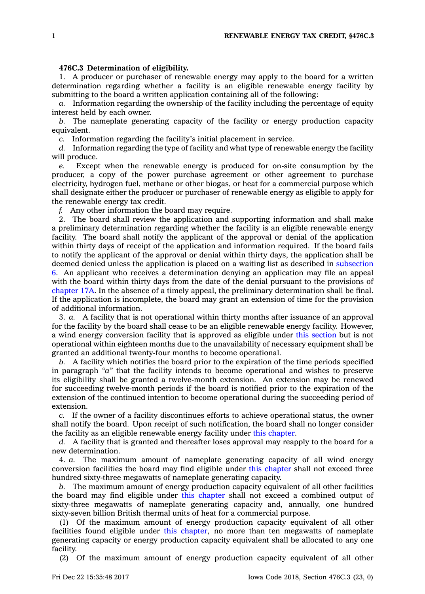## **476C.3 Determination of eligibility.**

1. A producer or purchaser of renewable energy may apply to the board for <sup>a</sup> written determination regarding whether <sup>a</sup> facility is an eligible renewable energy facility by submitting to the board <sup>a</sup> written application containing all of the following:

*a.* Information regarding the ownership of the facility including the percentage of equity interest held by each owner.

*b.* The nameplate generating capacity of the facility or energy production capacity equivalent.

*c.* Information regarding the facility's initial placement in service.

*d.* Information regarding the type of facility and what type of renewable energy the facility will produce.

*e.* Except when the renewable energy is produced for on-site consumption by the producer, <sup>a</sup> copy of the power purchase agreement or other agreement to purchase electricity, hydrogen fuel, methane or other biogas, or heat for <sup>a</sup> commercial purpose which shall designate either the producer or purchaser of renewable energy as eligible to apply for the renewable energy tax credit.

*f.* Any other information the board may require.

2. The board shall review the application and supporting information and shall make <sup>a</sup> preliminary determination regarding whether the facility is an eligible renewable energy facility. The board shall notify the applicant of the approval or denial of the application within thirty days of receipt of the application and information required. If the board fails to notify the applicant of the approval or denial within thirty days, the application shall be deemed denied unless the application is placed on <sup>a</sup> waiting list as described in [subsection](https://www.legis.iowa.gov/docs/code/476C.3.pdf) [6](https://www.legis.iowa.gov/docs/code/476C.3.pdf). An applicant who receives <sup>a</sup> determination denying an application may file an appeal with the board within thirty days from the date of the denial pursuant to the provisions of [chapter](https://www.legis.iowa.gov/docs/code//17A.pdf) 17A. In the absence of <sup>a</sup> timely appeal, the preliminary determination shall be final. If the application is incomplete, the board may grant an extension of time for the provision of additional information.

3. *a.* A facility that is not operational within thirty months after issuance of an approval for the facility by the board shall cease to be an eligible renewable energy facility. However, <sup>a</sup> wind energy conversion facility that is approved as eligible under this [section](https://www.legis.iowa.gov/docs/code/476C.3.pdf) but is not operational within eighteen months due to the unavailability of necessary equipment shall be granted an additional twenty-four months to become operational.

*b.* A facility which notifies the board prior to the expiration of the time periods specified in paragraph *"a"* that the facility intends to become operational and wishes to preserve its eligibility shall be granted <sup>a</sup> twelve-month extension. An extension may be renewed for succeeding twelve-month periods if the board is notified prior to the expiration of the extension of the continued intention to become operational during the succeeding period of extension.

*c.* If the owner of <sup>a</sup> facility discontinues efforts to achieve operational status, the owner shall notify the board. Upon receipt of such notification, the board shall no longer consider the facility as an eligible renewable energy facility under this [chapter](https://www.legis.iowa.gov/docs/code//476C.pdf).

*d.* A facility that is granted and thereafter loses approval may reapply to the board for <sup>a</sup> new determination.

4. *a.* The maximum amount of nameplate generating capacity of all wind energy conversion facilities the board may find eligible under this [chapter](https://www.legis.iowa.gov/docs/code//476C.pdf) shall not exceed three hundred sixty-three megawatts of nameplate generating capacity.

*b.* The maximum amount of energy production capacity equivalent of all other facilities the board may find eligible under this [chapter](https://www.legis.iowa.gov/docs/code//476C.pdf) shall not exceed <sup>a</sup> combined output of sixty-three megawatts of nameplate generating capacity and, annually, one hundred sixty-seven billion British thermal units of heat for <sup>a</sup> commercial purpose.

(1) Of the maximum amount of energy production capacity equivalent of all other facilities found eligible under this [chapter](https://www.legis.iowa.gov/docs/code//476C.pdf), no more than ten megawatts of nameplate generating capacity or energy production capacity equivalent shall be allocated to any one facility.

(2) Of the maximum amount of energy production capacity equivalent of all other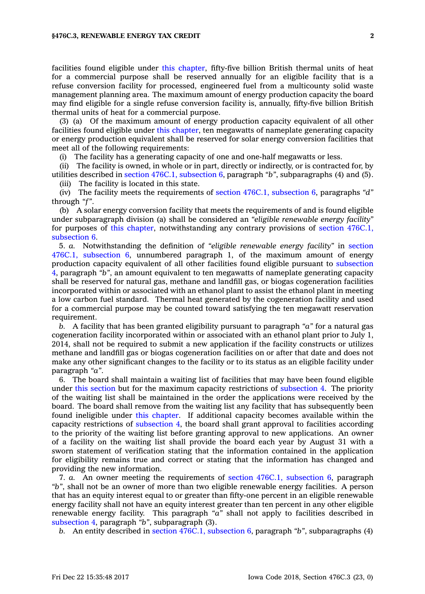facilities found eligible under this [chapter](https://www.legis.iowa.gov/docs/code//476C.pdf), fifty-five billion British thermal units of heat for <sup>a</sup> commercial purpose shall be reserved annually for an eligible facility that is <sup>a</sup> refuse conversion facility for processed, engineered fuel from <sup>a</sup> multicounty solid waste management planning area. The maximum amount of energy production capacity the board may find eligible for <sup>a</sup> single refuse conversion facility is, annually, fifty-five billion British thermal units of heat for <sup>a</sup> commercial purpose.

(3) (a) Of the maximum amount of energy production capacity equivalent of all other facilities found eligible under this [chapter](https://www.legis.iowa.gov/docs/code//476C.pdf), ten megawatts of nameplate generating capacity or energy production equivalent shall be reserved for solar energy conversion facilities that meet all of the following requirements:

(i) The facility has <sup>a</sup> generating capacity of one and one-half megawatts or less.

(ii) The facility is owned, in whole or in part, directly or indirectly, or is contracted for, by utilities described in section 476C.1, [subsection](https://www.legis.iowa.gov/docs/code/476C.1.pdf) 6, paragraph *"b"*, subparagraphs (4) and (5). (iii) The facility is located in this state.

(iv) The facility meets the requirements of section 476C.1, [subsection](https://www.legis.iowa.gov/docs/code/476C.1.pdf) 6, paragraphs *"d"* through *"f"*.

(b) A solar energy conversion facility that meets the requirements of and is found eligible under subparagraph division (a) shall be considered an *"eligible renewable energy facility"* for purposes of this [chapter](https://www.legis.iowa.gov/docs/code//476C.pdf), notwithstanding any contrary provisions of section [476C.1,](https://www.legis.iowa.gov/docs/code/476C.1.pdf) [subsection](https://www.legis.iowa.gov/docs/code/476C.1.pdf) 6.

5. *a.* Notwithstanding the definition of *"eligible renewable energy facility"* in [section](https://www.legis.iowa.gov/docs/code/476C.1.pdf) 476C.1, [subsection](https://www.legis.iowa.gov/docs/code/476C.1.pdf) 6, unnumbered paragraph 1, of the maximum amount of energy production capacity equivalent of all other facilities found eligible pursuant to [subsection](https://www.legis.iowa.gov/docs/code/476C.3.pdf) [4](https://www.legis.iowa.gov/docs/code/476C.3.pdf), paragraph *"b"*, an amount equivalent to ten megawatts of nameplate generating capacity shall be reserved for natural gas, methane and landfill gas, or biogas cogeneration facilities incorporated within or associated with an ethanol plant to assist the ethanol plant in meeting <sup>a</sup> low carbon fuel standard. Thermal heat generated by the cogeneration facility and used for <sup>a</sup> commercial purpose may be counted toward satisfying the ten megawatt reservation requirement.

*b.* A facility that has been granted eligibility pursuant to paragraph *"a"* for <sup>a</sup> natural gas cogeneration facility incorporated within or associated with an ethanol plant prior to July 1, 2014, shall not be required to submit <sup>a</sup> new application if the facility constructs or utilizes methane and landfill gas or biogas cogeneration facilities on or after that date and does not make any other significant changes to the facility or to its status as an eligible facility under paragraph *"a"*.

6. The board shall maintain <sup>a</sup> waiting list of facilities that may have been found eligible under this [section](https://www.legis.iowa.gov/docs/code/476C.3.pdf) but for the maximum capacity restrictions of [subsection](https://www.legis.iowa.gov/docs/code/476C.3.pdf) 4. The priority of the waiting list shall be maintained in the order the applications were received by the board. The board shall remove from the waiting list any facility that has subsequently been found ineligible under this [chapter](https://www.legis.iowa.gov/docs/code//476C.pdf). If additional capacity becomes available within the capacity restrictions of [subsection](https://www.legis.iowa.gov/docs/code/476C.3.pdf) 4, the board shall grant approval to facilities according to the priority of the waiting list before granting approval to new applications. An owner of <sup>a</sup> facility on the waiting list shall provide the board each year by August 31 with <sup>a</sup> sworn statement of verification stating that the information contained in the application for eligibility remains true and correct or stating that the information has changed and providing the new information.

7. *a.* An owner meeting the requirements of section 476C.1, [subsection](https://www.legis.iowa.gov/docs/code/476C.1.pdf) 6, paragraph *"b"*, shall not be an owner of more than two eligible renewable energy facilities. A person that has an equity interest equal to or greater than fifty-one percent in an eligible renewable energy facility shall not have an equity interest greater than ten percent in any other eligible renewable energy facility. This paragraph *"a"* shall not apply to facilities described in [subsection](https://www.legis.iowa.gov/docs/code/476C.3.pdf) 4, paragraph *"b"*, subparagraph (3).

*b.* An entity described in section 476C.1, [subsection](https://www.legis.iowa.gov/docs/code/476C.1.pdf) 6, paragraph *"b"*, subparagraphs (4)